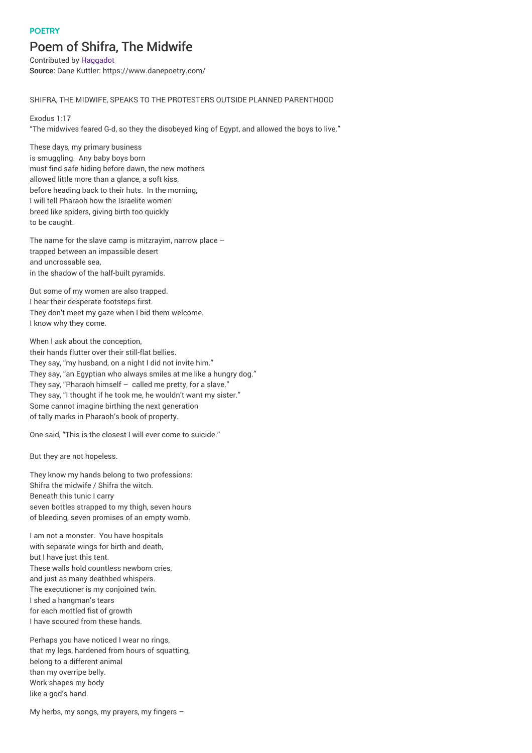## **POFTRY**

## Poem of Shifra, The Midwife

Contributed by Haggadot Source: Dane Kuttler: https://www.danepoetry.com/

## SHIFRA, THE MIDWIFE, SPEAKS TO THE PROTESTERS OUTSIDE PLANNED PARENTHOOD

Exodus 1:17 "The midwives feared G‑d, so they the disobeyed king of Egypt, and allowed the boys to live."

These days, my primary business is smuggling. Any baby boys born must find safe hiding before dawn, the new mothers allowed little more than a glance, a soft kiss, before heading back to their huts. In the morning, I will tell Pharaoh how the Israelite women breed like spiders, giving birth too quickly to be caught.

The name for the slave camp is mitzrayim, narrow place – trapped between an impassible desert and uncrossable sea, in the shadow of the half-built pyramids.

But some of my women are also trapped. I hear their desperate footsteps first. They don't meet my gaze when I bid them welcome. I know why they come.

When I ask about the conception. their hands flutter over their still-flat bellies. They say, "my husband, on a night I did not invite him." They say, "an Egyptian who always smiles at me like a hungry dog." They say, "Pharaoh himself – called me pretty, for a slave." They say, "I thought if he took me, he wouldn't want my sister." Some cannot imagine birthing the next generation of tally marks in Pharaoh's book of property.

One said, "This is the closest I will ever come to suicide."

But they are not hopeless.

They know my hands belong to two professions: Shifra the midwife / Shifra the witch. Beneath this tunic I carry seven bottles strapped to my thigh, seven hours of bleeding, seven promises of an empty womb.

I am not a monster. You have hospitals with separate wings for birth and death, but I have just this tent. These walls hold countless newborn cries, and just as many deathbed whispers. The executioner is my conjoined twin. I shed a hangman's tears for each mottled fist of growth I have scoured from these hands.

Perhaps you have noticed I wear no rings, that my legs, hardened from hours of squatting, belong to a different animal than my overripe belly. Work shapes my body like a god's hand.

My herbs, my songs, my prayers, my fingers –